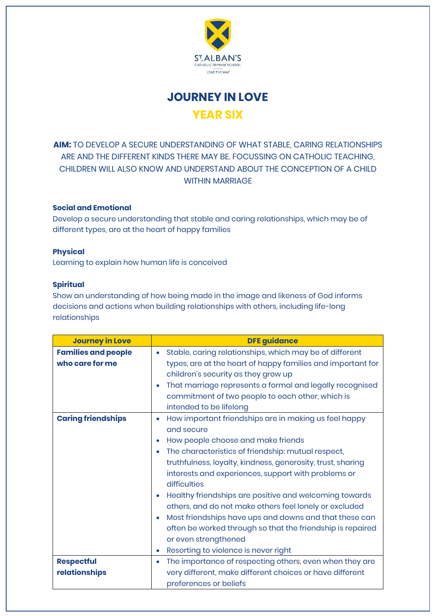

**JOURNEY IN LOVE YEAR SIX**

**AIM:** TO DEVELOP A SECURE UNDERSTANDING OF WHAT STABLE, CARING RELATIONSHIPS ARE AND THE DIFFERENT KINDS THERE MAY BE. FOCUSSING ON CATHOLIC TEACHING, CHILDREN WILL ALSO KNOW AND UNDERSTAND ABOUT THE CONCEPTION OF A CHILD WITHIN MARRIAGE

## **Social and Emotional**

Develop a secure understanding that stable and caring relationships, which may be of different types, are at the heart of happy families

## **Physical**

Learning to explain how human life is conceived

## **Spiritual**

Show an understanding of how being made in the image and likeness of God informs decisions and actions when building relationships with others, including life-long relationships

| <b>Journey in Love</b>                        | <b>DFE guidance</b>                                                                                                                                                                                                                                                                                                                                                                                                                                                                                                                                                                                                                                   |
|-----------------------------------------------|-------------------------------------------------------------------------------------------------------------------------------------------------------------------------------------------------------------------------------------------------------------------------------------------------------------------------------------------------------------------------------------------------------------------------------------------------------------------------------------------------------------------------------------------------------------------------------------------------------------------------------------------------------|
| <b>Families and people</b><br>who care for me | Stable, caring relationships, which may be of different<br>$\bullet$<br>types, are at the heart of happy families and important for<br>children's security as they grow up<br>That marriage represents a formal and legally recognised<br>۰<br>commitment of two people to each other, which is<br>intended to be lifelong                                                                                                                                                                                                                                                                                                                            |
| <b>Caring friendships</b>                     | How important friendships are in making us feel happy<br>۰<br>and secure<br>How people choose and make friends<br>The characteristics of friendship: mutual respect,<br>$\bullet$<br>truthfulness, loyalty, kindness, generosity, trust, sharing<br>interests and experiences, support with problems or<br>difficulties<br>Healthy friendships are positive and welcoming towards<br>others, and do not make others feel lonely or excluded<br>Most friendships have ups and downs and that these can<br>۰<br>often be worked through so that the friendship is repaired<br>or even strengthened<br>Resorting to violence is never right<br>$\bullet$ |
| <b>Respectful</b><br>relationships            | The importance of respecting others, even when they are<br>۰<br>very different, make different choices or have different<br>preferences or beliefs                                                                                                                                                                                                                                                                                                                                                                                                                                                                                                    |